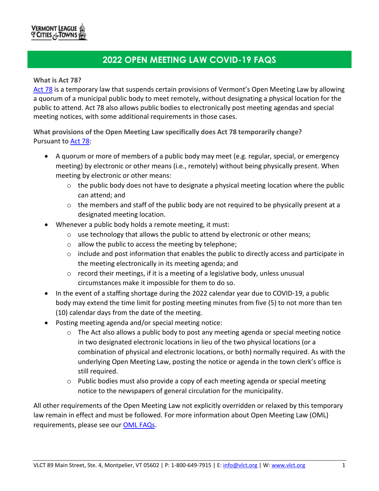# VERMONT LEAGUE<br>O CITIES & TOWNS

# **2022 OPEN MEETING LAW COVID-19 FAQS**

#### **What is Act 78?**

[Act](https://legislature.vermont.gov/Documents/2022/Docs/ACTS/ACT078/ACT078%20As%20Enacted.pdf) 78 is a temporary law that suspends certain provisions of Vermont's Open Meeting Law by allowing a quorum of a municipal public body to meet remotely, without designating a physical location for the public to attend. Act 78 also allows public bodies to electronically post meeting agendas and special meeting notices, with some additional requirements in those cases.

**What provisions of the Open Meeting Law specifically does Act 78 temporarily change?** Pursuant to [Act](https://legislature.vermont.gov/Documents/2022/Docs/ACTS/ACT078/ACT078%20As%20Enacted.pdf) 78:

- A quorum or more of members of a public body may meet (e.g. regular, special, or emergency meeting) by electronic or other means (i.e., remotely) without being physically present. When meeting by electronic or other means:
	- o the public body does not have to designate a physical meeting location where the public can attend; and
	- $\circ$  the members and staff of the public body are not required to be physically present at a designated meeting location.
- Whenever a public body holds a remote meeting, it must:
	- $\circ$  use technology that allows the public to attend by electronic or other means;
	- o allow the public to access the meeting by telephone;
	- $\circ$  include and post information that enables the public to directly access and participate in the meeting electronically in its meeting agenda; and
	- $\circ$  record their meetings, if it is a meeting of a legislative body, unless unusual circumstances make it impossible for them to do so.
- In the event of a staffing shortage during the 2022 calendar year due to COVID-19, a public body may extend the time limit for posting meeting minutes from five (5) to not more than ten (10) calendar days from the date of the meeting.
- Posting meeting agenda and/or special meeting notice:
	- $\circ$  The Act also allows a public body to post any meeting agenda or special meeting notice in two designated electronic locations in lieu of the two physical locations (or a combination of physical and electronic locations, or both) normally required. As with the underlying Open Meeting Law, posting the notice or agenda in the town clerk's office is still required.
	- o Public bodies must also provide a copy of each meeting agenda or special meeting notice to the newspapers of general circulation for the municipality.

All other requirements of the Open Meeting Law not explicitly overridden or relaxed by this temporary law remain in effect and must be followed. For more information about Open Meeting Law (OML) requirements, please see our [OML FAQs.](https://www.vlct.org/node/15860)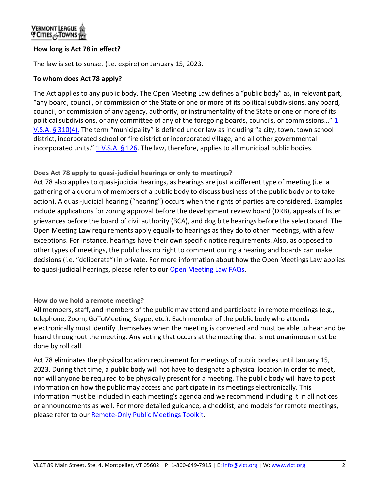# **How long is Act 78 in effect?**

The law is set to sunset (i.e. expire) on January 15, 2023.

#### **To whom does Act 78 apply?**

The Act applies to any public body. The Open Meeting Law defines a "public body" as, in relevant part, "any board, council, or commission of the State or one or more of its political subdivisions, any board, council, or commission of any agency, authority, or instrumentality of the State or one or more of its political subdivisions, or any committee of any of the foregoing boards, councils, or commissions..." 1 [V.S.A. § 310\(4\).](https://legislature.vermont.gov/statutes/section/01/005/00310) The term "municipality" is defined under law as including "a city, town, town school district, incorporated school or fire district or incorporated village, and all other governmental incorporated units."  $1 \text{ V.S.A.}$  § 126. The law, therefore, applies to all municipal public bodies.

#### **Does Act 78 apply to quasi-judicial hearings or only to meetings?**

Act 78 also applies to quasi-judicial hearings, as hearings are just a different type of meeting (i.e. a gathering of a quorum of members of a public body to discuss business of the public body or to take action). A quasi-judicial hearing ("hearing") occurs when the rights of parties are considered. Examples include applications for zoning approval before the development review board (DRB), appeals of lister grievances before the board of civil authority (BCA), and dog bite hearings before the selectboard. The Open Meeting Law requirements apply equally to hearings as they do to other meetings, with a few exceptions. For instance, hearings have their own specific notice requirements. Also, as opposed to other types of meetings, the public has no right to comment during a hearing and boards can make decisions (i.e. "deliberate") in private. For more information about how the Open Meetings Law applies to quasi-judicial hearings, please refer to our [Open Meeting Law FAQs.](https://www.vlct.org/node/15860)

#### **How do we hold a remote meeting?**

All members, staff, and members of the public may attend and participate in remote meetings (e.g., telephone, Zoom, GoToMeeting, Skype, etc.). Each member of the public body who attends electronically must identify themselves when the meeting is convened and must be able to hear and be heard throughout the meeting. Any voting that occurs at the meeting that is not unanimous must be done by roll call.

Act 78 eliminates the physical location requirement for meetings of public bodies until January 15, 2023. During that time, a public body will not have to designate a physical location in order to meet, nor will anyone be required to be physically present for a meeting. The public body will have to post information on how the public may access and participate in its meetings electronically. This information must be included in each meeting's agenda and we recommend including it in all notices or announcements as well. For more detailed guidance, a checklist, and models for remote meetings, please refer to our Remote-Only [Public Meetings Toolkit.](https://www.vlct.org/node/16987)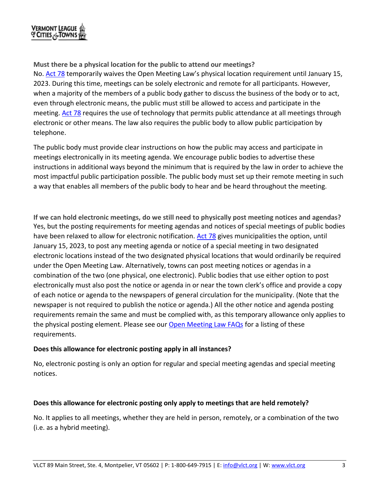

### **Must there be a physical location for the public to attend our meetings?**

No. **Act 78** temporarily waives the Open Meeting Law's physical location requirement until January 15, 2023. During this time, meetings can be solely electronic and remote for all participants. However, when a majority of the members of a public body gather to discuss the business of the body or to act, even through electronic means, the public must still be allowed to access and participate in the meeting. [Act](https://legislature.vermont.gov/Documents/2022/Docs/ACTS/ACT078/ACT078%20As%20Enacted.pdf) 78 requires the use of technology that permits public attendance at all meetings through electronic or other means. The law also requires the public body to allow public participation by telephone.

The public body must provide clear instructions on how the public may access and participate in meetings electronically in its meeting agenda. We encourage public bodies to advertise these instructions in additional ways beyond the minimum that is required by the law in order to achieve the most impactful public participation possible. The public body must set up their remote meeting in such a way that enables all members of the public body to hear and be heard throughout the meeting.

**If we can hold electronic meetings, do we still need to physically post meeting notices and agendas?** Yes, but the posting requirements for meeting agendas and notices of special meetings of public bodies have been relaxed to allow for electronic notification. [Act](https://legislature.vermont.gov/Documents/2022/Docs/ACTS/ACT078/ACT078%20As%20Enacted.pdf) 78 gives municipalities the option, until January 15, 2023, to post any meeting agenda or notice of a special meeting in two designated electronic locations instead of the two designated physical locations that would ordinarily be required under the Open Meeting Law. Alternatively, towns can post meeting notices or agendas in a combination of the two (one physical, one electronic). Public bodies that use either option to post electronically must also post the notice or agenda in or near the town clerk's office and provide a copy of each notice or agenda to the newspapers of general circulation for the municipality. (Note that the newspaper is not required to publish the notice or agenda.) All the other notice and agenda posting requirements remain the same and must be complied with, as this temporary allowance only applies to the physical posting element. Please see our [Open Meeting Law FAQs](https://www.vlct.org/node/15860) for a listing of these requirements.

#### **Does this allowance for electronic posting apply in all instances?**

No, electronic posting is only an option for regular and special meeting agendas and special meeting notices.

# **Does this allowance for electronic posting only apply to meetings that are held remotely?**

No. It applies to all meetings, whether they are held in person, remotely, or a combination of the two (i.e. as a hybrid meeting).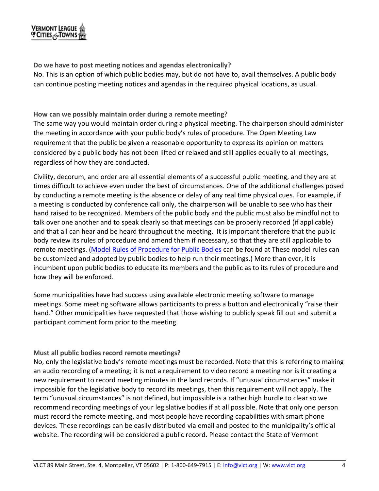# **VERMONT LEAGUE**<br>OF CITIES <sub>CO</sub>TOWNS

**Do we have to post meeting notices and agendas electronically?**

No. This is an option of which public bodies may, but do not have to, avail themselves. A public body can continue posting meeting notices and agendas in the required physical locations, as usual.

**How can we possibly maintain order during a remote meeting?**

The same way you would maintain order during a physical meeting. The chairperson should administer the meeting in accordance with your public body's rules of procedure. The Open Meeting Law requirement that the public be given a reasonable opportunity to express its opinion on matters considered by a public body has not been lifted or relaxed and still applies equally to all meetings, regardless of how they are conducted.

Civility, decorum, and order are all essential elements of a successful public meeting, and they are at times difficult to achieve even under the best of circumstances. One of the additional challenges posed by conducting a remote meeting is the absence or delay of any real time physical cues. For example, if a meeting is conducted by conference call only, the chairperson will be unable to see who has their hand raised to be recognized. Members of the public body and the public must also be mindful not to talk over one another and to speak clearly so that meetings can be properly recorded (if applicable) and that all can hear and be heard throughout the meeting. It is important therefore that the public body review its rules of procedure and amend them if necessary, so that they are still applicable to remote meetings. [\(Model Rules of Procedure for Public Bodies](https://www.vlct.org/node/1020) can be found at These model rules can be customized and adopted by public bodies to help run their meetings.) More than ever, it is incumbent upon public bodies to educate its members and the public as to its rules of procedure and how they will be enforced.

Some municipalities have had success using available electronic meeting software to manage meetings. Some meeting software allows participants to press a button and electronically "raise their hand." Other municipalities have requested that those wishing to publicly speak fill out and submit a participant comment form prior to the meeting.

# **Must all public bodies record remote meetings?**

No, only the legislative body's remote meetings must be recorded. Note that this is referring to making an audio recording of a meeting; it is not a requirement to video record a meeting nor is it creating a new requirement to record meeting minutes in the land records. If "unusual circumstances" make it impossible for the legislative body to record its meetings, then this requirement will not apply. The term "unusual circumstances" is not defined, but impossible is a rather high hurdle to clear so we recommend recording meetings of your legislative bodies if at all possible. Note that only one person must record the remote meeting, and most people have recording capabilities with smart phone devices. These recordings can be easily distributed via email and posted to the municipality's official website. The recording will be considered a public record. Please contact the State of Vermont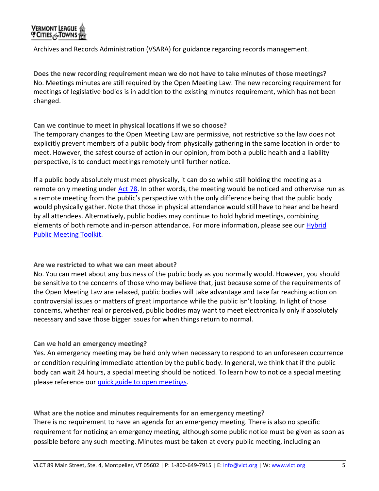

Archives and Records Administration (VSARA) for guidance regarding records management.

**Does the new recording requirement mean we do not have to take minutes of those meetings?** No. Meetings minutes are still required by the Open Meeting Law. The new recording requirement for meetings of legislative bodies is in addition to the existing minutes requirement, which has not been changed.

**Can we continue to meet in physical locations if we so choose?** 

The temporary changes to the Open Meeting Law are permissive, not restrictive so the law does not explicitly prevent members of a public body from physically gathering in the same location in order to meet. However, the safest course of action in our opinion, from both a public health and a liability perspective, is to conduct meetings remotely until further notice.

If a public body absolutely must meet physically, it can do so while still holding the meeting as a remote only meeting under [Act](https://legislature.vermont.gov/Documents/2022/Docs/ACTS/ACT078/ACT078%20As%20Enacted.pdf) 78. In other words, the meeting would be noticed and otherwise run as a remote meeting from the public's perspective with the only difference being that the public body would physically gather. Note that those in physical attendance would still have to hear and be heard by all attendees. Alternatively, public bodies may continue to hold hybrid meetings, combining elements of both remote and in-person attendance. For more information, please see our Hybrid [Public Meeting Toolkit.](https://www.vlct.org/node/15292)

#### **Are we restricted to what we can meet about?**

No. You can meet about any business of the public body as you normally would. However, you should be sensitive to the concerns of those who may believe that, just because some of the requirements of the Open Meeting Law are relaxed, public bodies will take advantage and take far reaching action on controversial issues or matters of great importance while the public isn't looking. In light of those concerns, whether real or perceived, public bodies may want to meet electronically only if absolutely necessary and save those bigger issues for when things return to normal.

#### **Can we hold an emergency meeting?**

Yes. An emergency meeting may be held only when necessary to respond to an unforeseen occurrence or condition requiring immediate attention by the public body. In general, we think that if the public body can wait 24 hours, a special meeting should be noticed. To learn how to notice a special meeting please reference ou[r quick guide to open meetings.](https://www.vlct.org/node/1054)

**What are the notice and minutes requirements for an emergency meeting?**

There is no requirement to have an agenda for an emergency meeting. There is also no specific requirement for noticing an emergency meeting, although some public notice must be given as soon as possible before any such meeting. Minutes must be taken at every public meeting, including an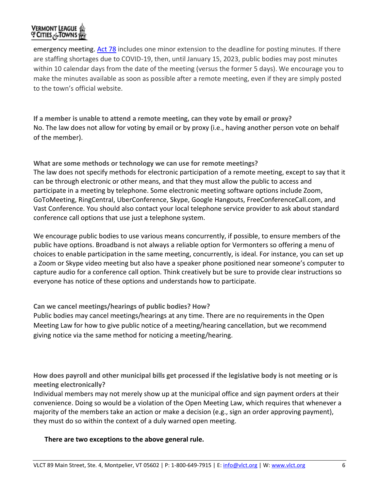# **VERMONT LEAGUE** OF CITIES ANTOWNS

emergency meeting. [Act 78](https://legislature.vermont.gov/Documents/2022/Docs/ACTS/ACT078/ACT078%20As%20Enacted.pdf) includes one minor extension to the deadline for posting minutes. If there are staffing shortages due to COVID-19, then, until January 15, 2023, public bodies may post minutes within 10 calendar days from the date of the meeting (versus the former 5 days). We encourage you to make the minutes available as soon as possible after a remote meeting, even if they are simply posted to the town's official website.

**If a member is unable to attend a remote meeting, can they vote by email or proxy?**  No. The law does not allow for voting by email or by proxy (i.e., having another person vote on behalf of the member).

**What are some methods or technology we can use for remote meetings?** The law does not specify methods for electronic participation of a remote meeting, except to say that it can be through electronic or other means, and that they must allow the public to access and participate in a meeting by telephone. Some electronic meeting software options include Zoom, GoToMeeting, RingCentral, UberConference, Skype, Google Hangouts, FreeConferenceCall.com, and Vast Conference. You should also contact your local telephone service provider to ask about standard conference call options that use just a telephone system.

We encourage public bodies to use various means concurrently, if possible, to ensure members of the public have options. Broadband is not always a reliable option for Vermonters so offering a menu of choices to enable participation in the same meeting, concurrently, is ideal. For instance, you can set up a Zoom or Skype video meeting but also have a speaker phone positioned near someone's computer to capture audio for a conference call option. Think creatively but be sure to provide clear instructions so everyone has notice of these options and understands how to participate.

**Can we cancel meetings/hearings of public bodies? How?**

Public bodies may cancel meetings/hearings at any time. There are no requirements in the Open Meeting Law for how to give public notice of a meeting/hearing cancellation, but we recommend giving notice via the same method for noticing a meeting/hearing.

**How does payroll and other municipal bills get processed if the legislative body is not meeting or is meeting electronically?**

Individual members may not merely show up at the municipal office and sign payment orders at their convenience. Doing so would be a violation of the Open Meeting Law, which requires that whenever a majority of the members take an action or make a decision (e.g., sign an order approving payment), they must do so within the context of a duly warned open meeting.

# **There are two exceptions to the above general rule.**